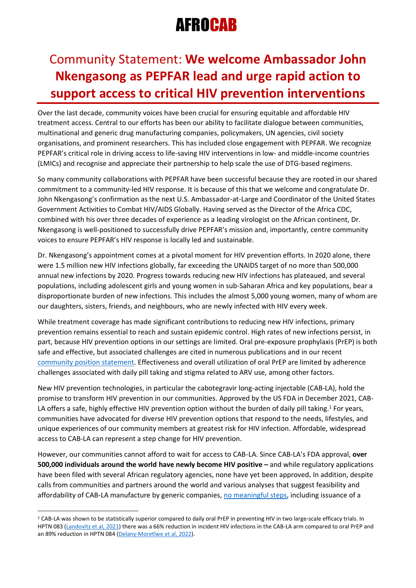# **AFROCAB**

### Community Statement: **We welcome Ambassador John Nkengasong as PEPFAR lead and urge rapid action to support access to critical HIV prevention interventions**

Over the last decade, community voices have been crucial for ensuring equitable and affordable HIV treatment access. Central to our efforts has been our ability to facilitate dialogue between communities, multinational and generic drug manufacturing companies, policymakers, UN agencies, civil society organisations, and prominent researchers. This has included close engagement with PEPFAR. We recognize PEPFAR's critical role in driving access to life-saving HIV interventions in low- and middle-income countries (LMICs) and recognise and appreciate their partnership to help scale the use of DTG-based regimens.

So many community collaborations with PEPFAR have been successful because they are rooted in our shared commitment to a community-led HIV response. It is because of this that we welcome and congratulate Dr. John Nkengasong's confirmation as the next U.S. Ambassador-at-Large and Coordinator of the United States Government Activities to Combat HIV/AIDS Globally. Having served as the Director of the Africa CDC, combined with his over three decades of experience as a leading virologist on the African continent, Dr. Nkengasong is well-positioned to successfully drive PEPFAR's mission and, importantly, centre community voices to ensure PEPFAR's HIV response is locally led and sustainable.

Dr. Nkengasong's appointment comes at a pivotal moment for HIV prevention efforts. In 2020 alone, there were 1.5 million new HIV infections globally, far exceeding the UNAIDS target of no more than 500,000 annual new infections by 2020. Progress towards reducing new HIV infections has plateaued, and several populations, including adolescent girls and young women in sub-Saharan Africa and key populations, bear a disproportionate burden of new infections. This includes the almost 5,000 young women, many of whom are our daughters, sisters, friends, and neighbours, who are newly infected with HIV every week.

While treatment coverage has made significant contributions to reducing new HIV infections, primary prevention remains essential to reach and sustain epidemic control. High rates of new infections persist, in part, because HIV prevention options in our settings are limited. Oral pre-exposure prophylaxis (PrEP) is both safe and effective, but associated challenges are cited in numerous publications and in our recent [community position statement.](http://www.afrocab.info/wp-content/uploads/2022/03/CAB-LA-Community-Statement-Final.pdf) Effectiveness and overall utilization of oral PrEP are limited by adherence challenges associated with daily pill taking and stigma related to ARV use, among other factors.

New HIV prevention technologies, in particular the cabotegravir long-acting injectable (CAB-LA), hold the promise to transform HIV prevention in our communities. Approved by the US FDA in December 2021, CAB-LA offers a safe, highly effective HIV prevention option without the burden of daily pill taking.<sup>1</sup> For years, communities have advocated for diverse HIV prevention options that respond to the needs, lifestyles, and unique experiences of our community members at greatest risk for HIV infection. Affordable, widespread access to CAB-LA can represent a step change for HIV prevention.

However, our communities cannot afford to wait for access to CAB-LA. Since CAB-LA's FDA approval, **over 500,000 individuals around the world have newly become HIV positive –** and while regulatory applications have been filed with several African regulatory agencies, none have yet been approved**.** In addition, despite calls from communities and partners around the world and various analyses that suggest feasibility and affordability of CAB-LA manufacture by generic companies, [no meaningful steps,](http://www.afrocab.info/wp-content/uploads/2022/03/CAB-LA-Community-Response-Letter.pdf) including issuance of a

<sup>1</sup> CAB-LA was shown to be statistically superior compared to daily oral PrEP in preventing HIV in two large-scale efficacy trials. In HPTN 083 [\(Landovitz et al, 2021\)](https://pubmed.ncbi.nlm.nih.gov/34379922/) there was a 66% reduction in incident HIV infections in the CAB-LA arm compared to oral PrEP and an 89% reduction in HPTN 084 [\(Delany-Moretlwe et al, 2022\).](https://pubmed.ncbi.nlm.nih.gov/35378077/)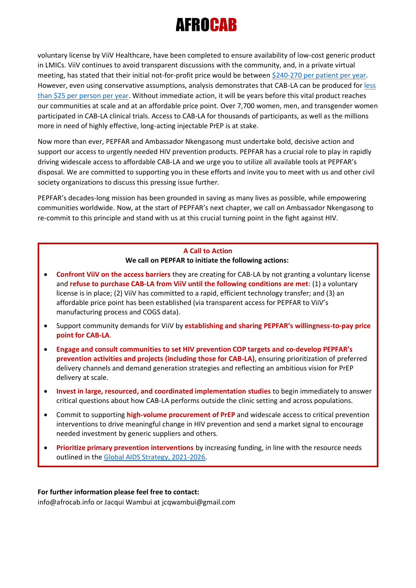# 130 H C

voluntary license by ViiV Healthcare, have been completed to ensure availability of low-cost generic product in LMICs. ViiV continues to avoid transparent discussions with the community, and, in a private virtual meeting, has stated that their initial not-for-profit price would be between [\\$240-270 per patient per year.](https://healthgap.org/press/long-acting-prep-is-a-necessity-not-a-luxury-viivs-greed-is-still-blocking-global-access-to-injection-that-could-transform-hiv-prevention-and-help-end-the-pandemic/) However, even using conservative assumptions, analysis demonstrates that CAB-LA can be produced for [less](https://www.longactinghiv.org/files/inline-files/DavidRipin-LEAP2022.mp4)  [than \\$25 per person per year.](https://www.longactinghiv.org/files/inline-files/DavidRipin-LEAP2022.mp4) Without immediate action, it will be years before this vital product reaches our communities at scale and at an affordable price point. Over 7,700 women, men, and transgender women participated in CAB-LA clinical trials. Access to CAB-LA for thousands of participants, as well as the millions more in need of highly effective, long-acting injectable PrEP is at stake.

Now more than ever, PEPFAR and Ambassador Nkengasong must undertake bold, decisive action and support our access to urgently needed HIV prevention products. PEPFAR has a crucial role to play in rapidly driving widescale access to affordable CAB-LA and we urge you to utilize all available tools at PEPFAR's disposal. We are committed to supporting you in these efforts and invite you to meet with us and other civil society organizations to discuss this pressing issue further.

PEPFAR's decades-long mission has been grounded in saving as many lives as possible, while empowering communities worldwide. Now, at the start of PEPFAR's next chapter, we call on Ambassador Nkengasong to re-commit to this principle and stand with us at this crucial turning point in the fight against HIV.

#### **A Call to Action We call on PEPFAR to initiate the following actions:**

- **Confront ViiV on the access barriers** they are creating for CAB-LA by not granting a voluntary license and **refuse to purchase CAB-LA from ViiV until the following conditions are met**: (1) a voluntary license is in place; (2) ViiV has committed to a rapid, efficient technology transfer; and (3) an affordable price point has been established (via transparent access for PEPFAR to ViiV's manufacturing process and COGS data).
- Support community demands for ViiV by **establishing and sharing PEPFAR's willingness-to-pay price point for CAB-LA**.
- **Engage and consult communities to set HIV prevention COP targets and co-develop PEPFAR's prevention activities and projects (including those for CAB-LA)**, ensuring prioritization of preferred delivery channels and demand generation strategies and reflecting an ambitious vision for PrEP delivery at scale.
- **Invest in large, resourced, and coordinated implementation studies** to begin immediately to answer critical questions about how CAB-LA performs outside the clinic setting and across populations.
- Commit to supporting **high-volume procurement of PrEP** and widescale access to critical prevention interventions to drive meaningful change in HIV prevention and send a market signal to encourage needed investment by generic suppliers and others.
- **Prioritize primary prevention interventions** by increasing funding, in line with the resource needs outlined in the [Global AIDS Strategy, 2021-2026.](https://www.unaids.org/sites/default/files/media_asset/global-AIDS-strategy-2021-2026_en.pdf)

#### **For further information please feel free to contact:**

info@afrocab.info or Jacqui Wambui at jcqwambui@gmail.com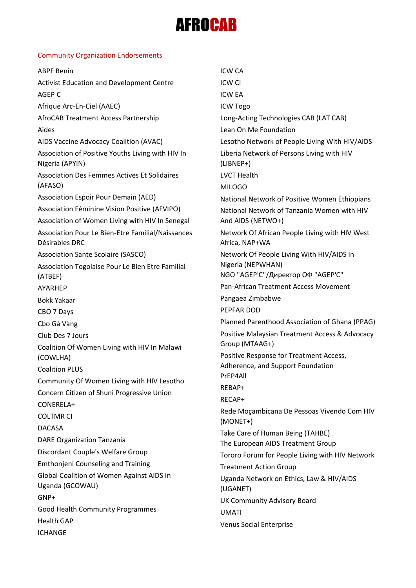# **AFROCAB**

#### Community Organization Endorsements

| <b>ABPF Benin</b>                                                                                | <b>ICW CA</b>                                                    |
|--------------------------------------------------------------------------------------------------|------------------------------------------------------------------|
| Activist Education and Development Centre                                                        | <b>ICW CI</b>                                                    |
| AGEP C                                                                                           | <b>ICW EA</b>                                                    |
| Afrique Arc-En-Ciel (AAEC)                                                                       | <b>ICW Togo</b>                                                  |
| AfroCAB Treatment Access Partnership                                                             | Long-Acting Technologies CAB (LAT CAB)                           |
| Aides                                                                                            | Lean On Me Foundation                                            |
| AIDS Vaccine Advocacy Coalition (AVAC)                                                           | Lesotho Network of People Living With HIV/AIDS                   |
| Association of Positive Youths Living with HIV In<br>Nigeria (APYIN)                             | Liberia Network of Persons Living with HIV<br>$(LIBNEP+)$        |
| <b>Association Des Femmes Actives Et Solidaires</b>                                              | <b>LVCT Health</b>                                               |
| (AFASO)                                                                                          | <b>MILOGO</b>                                                    |
| Association Espoir Pour Demain (AED)                                                             | National Network of Positive Women Ethiopians                    |
| Association Féminine Vision Positive (AFVIPO)<br>Association of Women Living with HIV In Senegal | National Network of Tanzania Women with HIV<br>And AIDS (NETWO+) |
| Association Pour Le Bien-Etre Familial/Naissances<br>Désirables DRC                              | Network Of African People Living with HIV West<br>Africa, NAP+WA |
| Association Sante Scolaire (SASCO)                                                               | Network Of People Living With HIV/AIDS In                        |
| Association Togolaise Pour Le Bien Etre Familial<br>(ATBEF)                                      | Nigeria (NEPWHAN)<br>NGO "АGEP'С"/Директор ОФ "АGEP'С"           |
| AYARHEP                                                                                          | Pan-African Treatment Access Movement                            |
| <b>Bokk Yakaar</b>                                                                               | Pangaea Zimbabwe                                                 |
| CBO 7 Days                                                                                       | PEPFAR DOD                                                       |
| Cbo Gà Vàng                                                                                      | Planned Parenthood Association of Ghana (PPAG)                   |
| Club Des 7 Jours                                                                                 | Positive Malaysian Treatment Access & Advocacy                   |
| Coalition Of Women Living with HIV In Malawi                                                     | Group (MTAAG+)                                                   |
| (COWLHA)                                                                                         | Positive Response for Treatment Access,                          |
| <b>Coalition PLUS</b>                                                                            | Adherence, and Support Foundation                                |
| Community Of Women Living with HIV Lesotho                                                       | PrEP4All                                                         |
| Concern Citizen of Shuni Progressive Union                                                       | REBAP+                                                           |
| CONERELA+                                                                                        | RECAP+                                                           |
| <b>COLTMR CI</b>                                                                                 | Rede Moçambicana De Pessoas Vivendo Com HIV<br>(MONET+)          |
| <b>DACASA</b>                                                                                    | Take Care of Human Being (TAHBE)                                 |
| <b>DARE Organization Tanzania</b>                                                                | The European AIDS Treatment Group                                |
| Discordant Couple's Welfare Group                                                                | Tororo Forum for People Living with HIV Network                  |
| <b>Emthonjeni Counseling and Training</b>                                                        | <b>Treatment Action Group</b>                                    |
| Global Coalition of Women Against AIDS In<br>Uganda (GCOWAU)                                     | Uganda Network on Ethics, Law & HIV/AIDS<br>(UGANET)             |
| GNP+                                                                                             | UK Community Advisory Board                                      |
| Good Health Community Programmes                                                                 | <b>UMATI</b>                                                     |
| <b>Health GAP</b>                                                                                | Venus Social Enterprise                                          |
| <b>ICHANGE</b>                                                                                   |                                                                  |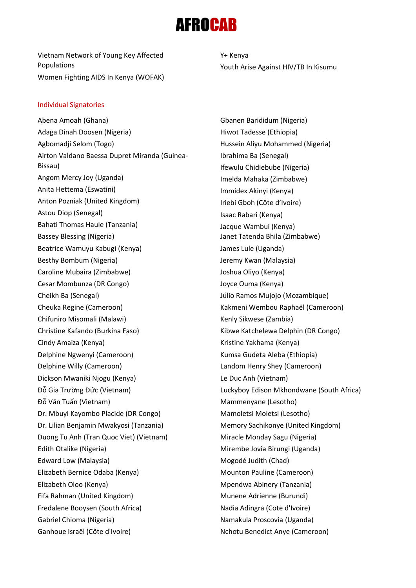### *SFROCAB*

Vietnam Network of Young Key Affected Populations Women Fighting AIDS In Kenya (WOFAK) Y+ Kenya Youth Arise Against HIV/TB In Kisumu

#### Individual Signatories

Abena Amoah (Ghana) Adaga Dinah Doosen (Nigeria) Agbomadji Selom (Togo) Airton Valdano Baessa Dupret Miranda (Guinea-Bissau) Angom Mercy Joy (Uganda) Anita Hettema (Eswatini) Anton Pozniak (United Kingdom) Astou Diop (Senegal) Bahati Thomas Haule (Tanzania) Bassey Blessing (Nigeria) Beatrice Wamuyu Kabugi (Kenya) Besthy Bombum (Nigeria) Caroline Mubaira (Zimbabwe) Cesar Mombunza (DR Congo) Cheikh Ba (Senegal) Cheuka Regine (Cameroon) Chifuniro Misomali (Malawi) Christine Kafando (Burkina Faso) Cindy Amaiza (Kenya) Delphine Ngwenyi (Cameroon) Delphine Willy (Cameroon) Dickson Mwaniki Njogu (Kenya) Đỗ Gia Trường Đức (Vietnam) Đỗ Văn Tuấn (Vietnam) Dr. Mbuyi Kayombo Placide (DR Congo) Dr. Lilian Benjamin Mwakyosi (Tanzania) Duong Tu Anh (Tran Quoc Viet) (Vietnam) Edith Otalike (Nigeria) Edward Low (Malaysia) Elizabeth Bernice Odaba (Kenya) Elizabeth Oloo (Kenya) Fifa Rahman (United Kingdom) Fredalene Booysen (South Africa) Gabriel Chioma (Nigeria) Ganhoue Israël (Côte d'Ivoire)

Gbanen Barididum (Nigeria) Hiwot Tadesse (Ethiopia) Hussein Aliyu Mohammed (Nigeria) Ibrahima Ba (Senegal) Ifewulu Chidiebube (Nigeria) Imelda Mahaka (Zimbabwe) Immidex Akinyi (Kenya) Iriebi Gboh (Côte d'Ivoire) Isaac Rabari (Kenya) Jacque Wambui (Kenya) Janet Tatenda Bhila (Zimbabwe) James Lule (Uganda) Jeremy Kwan (Malaysia) Joshua Oliyo (Kenya) Joyce Ouma (Kenya) Júlio Ramos Mujojo (Mozambique) Kakmeni Wembou Raphaël (Cameroon) Kenly Sikwese (Zambia) Kibwe Katchelewa Delphin (DR Congo) Kristine Yakhama (Kenya) Kumsa Gudeta Aleba (Ethiopia) Landom Henry Shey (Cameroon) Le Duc Anh (Vietnam) Luckyboy Edison Mkhondwane (South Africa) Mammenyane (Lesotho) Mamoletsi Moletsi (Lesotho) Memory Sachikonye (United Kingdom) Miracle Monday Sagu (Nigeria) Mirembe Jovia Birungi (Uganda) Mogodé Judith (Chad) Mounton Pauline (Cameroon) Mpendwa Abinery (Tanzania) Munene Adrienne (Burundi) Nadia Adingra (Cote d'Ivoire) Namakula Proscovia (Uganda) Nchotu Benedict Anye (Cameroon)